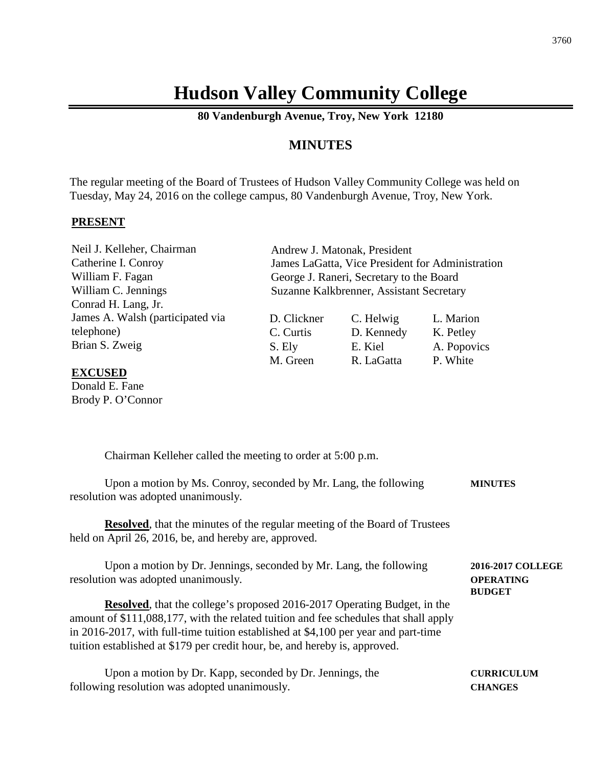# **Hudson Valley Community College**

**80 Vandenburgh Avenue, Troy, New York 12180**

# **MINUTES**

The regular meeting of the Board of Trustees of Hudson Valley Community College was held on Tuesday, May 24, 2016 on the college campus, 80 Vandenburgh Avenue, Troy, New York.

#### **PRESENT**

Neil J. Kelleher, Chairman Catherine I. Conroy William F. Fagan William C. Jennings Conrad H. Lang, Jr. James A. Walsh (participated via telephone) Brian S. Zweig

Andrew J. Matonak, President James LaGatta, Vice President for Administration George J. Raneri, Secretary to the Board Suzanne Kalkbrenner, Assistant Secretary

| C. Helwig  | L. Marion   |
|------------|-------------|
| D. Kennedy | K. Petley   |
| E. Kiel    | A. Popovics |
| R. LaGatta | P. White    |
|            |             |

**BUDGET**

#### **EXCUSED**

Donald E. Fane Brody P. O'Connor

Chairman Kelleher called the meeting to order at 5:00 p.m.

| Upon a motion by Ms. Conroy, seconded by Mr. Lang, the following | <b>MINUTES</b> |
|------------------------------------------------------------------|----------------|
| resolution was adopted unanimously.                              |                |

**Resolved**, that the minutes of the regular meeting of the Board of Trustees held on April 26, 2016, be, and hereby are, approved.

Upon a motion by Dr. Jennings, seconded by Mr. Lang, the following **2016-2017 COLLEGE** resolution was adopted unanimously. **OPERATING**

**Resolved**, that the college's proposed 2016-2017 Operating Budget, in the amount of \$111,088,177, with the related tuition and fee schedules that shall apply in 2016-2017, with full-time tuition established at \$4,100 per year and part-time tuition established at \$179 per credit hour, be, and hereby is, approved.

| Upon a motion by Dr. Kapp, seconded by Dr. Jennings, the | <b>CURRICULUM</b> |
|----------------------------------------------------------|-------------------|
| following resolution was adopted unanimously.            | <b>CHANGES</b>    |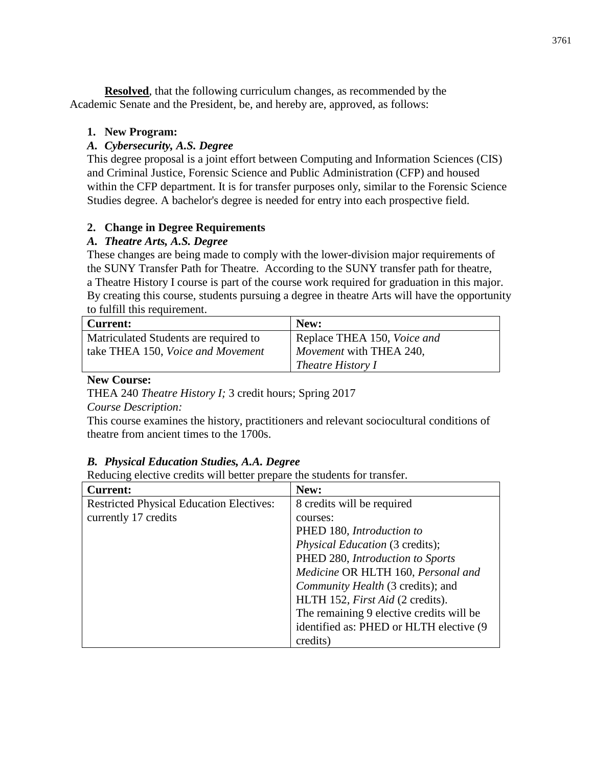**Resolved**, that the following curriculum changes, as recommended by the Academic Senate and the President, be, and hereby are, approved, as follows:

## **1. New Program:**

## *A. Cybersecurity, A.S. Degree*

This degree proposal is a joint effort between Computing and Information Sciences (CIS) and Criminal Justice, Forensic Science and Public Administration (CFP) and housed within the CFP department. It is for transfer purposes only, similar to the Forensic Science Studies degree. A bachelor's degree is needed for entry into each prospective field.

## **2. Change in Degree Requirements**

## *A. Theatre Arts, A.S. Degree*

These changes are being made to comply with the lower-division major requirements of the SUNY Transfer Path for Theatre. According to the SUNY transfer path for theatre, a Theatre History I course is part of the course work required for graduation in this major. By creating this course, students pursuing a degree in theatre Arts will have the opportunity to fulfill this requirement.

| <b>Current:</b>                       | New:                        |
|---------------------------------------|-----------------------------|
| Matriculated Students are required to | Replace THEA 150, Voice and |
| take THEA 150, Voice and Movement     | Movement with THEA 240,     |
|                                       | <i>Theatre History I</i>    |

## **New Course:**

THEA 240 *Theatre History I;* 3 credit hours; Spring 2017

*Course Description:*

This course examines the history, practitioners and relevant sociocultural conditions of theatre from ancient times to the 1700s.

# *B. Physical Education Studies, A.A. Degree*

Reducing elective credits will better prepare the students for transfer.

| <b>Current:</b>                                 | New:                                     |
|-------------------------------------------------|------------------------------------------|
| <b>Restricted Physical Education Electives:</b> | 8 credits will be required               |
| currently 17 credits                            | courses:                                 |
|                                                 | PHED 180, Introduction to                |
|                                                 | <i>Physical Education</i> (3 credits);   |
|                                                 | PHED 280, Introduction to Sports         |
|                                                 | Medicine OR HLTH 160, Personal and       |
|                                                 | Community Health (3 credits); and        |
|                                                 | HLTH 152, <i>First Aid</i> (2 credits).  |
|                                                 | The remaining 9 elective credits will be |
|                                                 | identified as: PHED or HLTH elective (9) |
|                                                 | credits)                                 |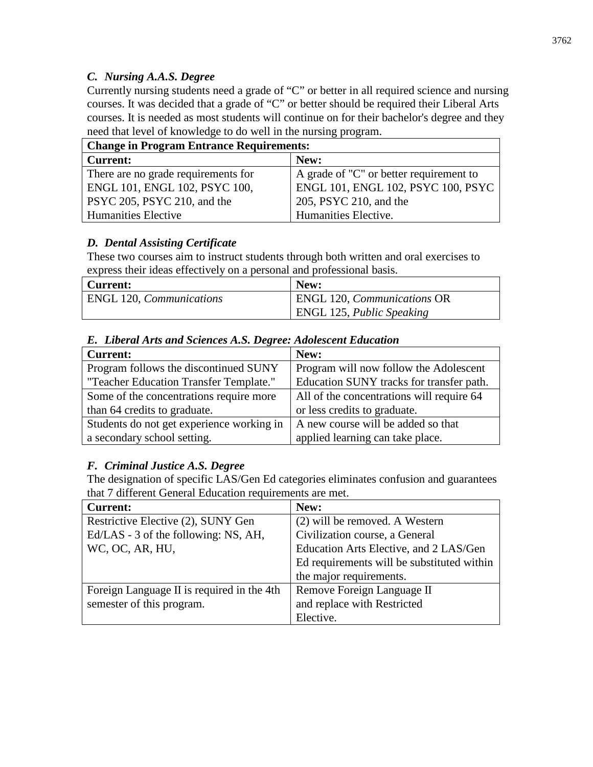## *C. Nursing A.A.S. Degree*

Currently nursing students need a grade of "C" or better in all required science and nursing courses. It was decided that a grade of "C" or better should be required their Liberal Arts courses. It is needed as most students will continue on for their bachelor's degree and they need that level of knowledge to do well in the nursing program.

| <b>Change in Program Entrance Requirements:</b> |                                           |  |
|-------------------------------------------------|-------------------------------------------|--|
| Current:                                        | New:                                      |  |
| There are no grade requirements for             | A grade of "C" or better requirement to   |  |
| ENGL 101, ENGL 102, PSYC 100,                   | <b>ENGL 101, ENGL 102, PSYC 100, PSYC</b> |  |
| <b>PSYC 205, PSYC 210, and the</b>              | 205, PSYC 210, and the                    |  |
| <b>Humanities Elective</b>                      | Humanities Elective.                      |  |

# *D. Dental Assisting Certificate*

These two courses aim to instruct students through both written and oral exercises to express their ideas effectively on a personal and professional basis.

| Current:                               | New:                               |
|----------------------------------------|------------------------------------|
| <b>ENGL</b> 120, <i>Communications</i> | <b>ENGL 120, Communications OR</b> |
|                                        | <b>ENGL 125, Public Speaking</b>   |

| <b>Current:</b>                           | New:                                      |
|-------------------------------------------|-------------------------------------------|
| Program follows the discontinued SUNY     | Program will now follow the Adolescent    |
| "Teacher Education Transfer Template."    | Education SUNY tracks for transfer path.  |
| Some of the concentrations require more   | All of the concentrations will require 64 |
| than 64 credits to graduate.              | or less credits to graduate.              |
| Students do not get experience working in | A new course will be added so that        |
| a secondary school setting.               | applied learning can take place.          |

# *E. Liberal Arts and Sciences A.S. Degree: Adolescent Education*

# *F. Criminal Justice A.S. Degree*

The designation of specific LAS/Gen Ed categories eliminates confusion and guarantees that 7 different General Education requirements are met.

| <b>Current:</b>                            | New:                                       |
|--------------------------------------------|--------------------------------------------|
| Restrictive Elective (2), SUNY Gen         | (2) will be removed. A Western             |
| Ed/LAS - 3 of the following: NS, AH,       | Civilization course, a General             |
| WC, OC, AR, HU,                            | Education Arts Elective, and 2 LAS/Gen     |
|                                            | Ed requirements will be substituted within |
|                                            | the major requirements.                    |
| Foreign Language II is required in the 4th | Remove Foreign Language II                 |
| semester of this program.                  | and replace with Restricted                |
|                                            | Elective.                                  |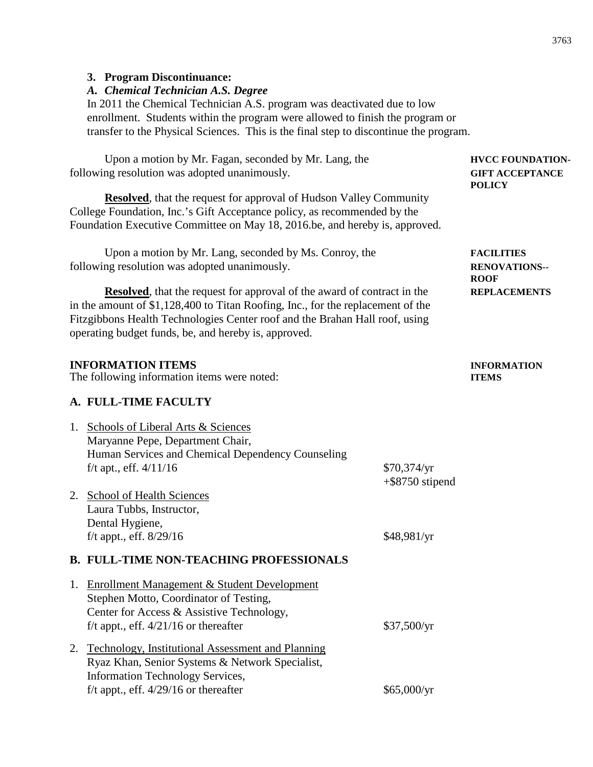#### **3. Program Discontinuance:**

### *A. Chemical Technician A.S. Degree*

In 2011 the Chemical Technician A.S. program was deactivated due to low enrollment. Students within the program were allowed to finish the program or transfer to the Physical Sciences. This is the final step to discontinue the program.

Upon a motion by Mr. Fagan, seconded by Mr. Lang, the **HVCC FOUNDATION**following resolution was adopted unanimously. **GIFT ACCEPTANCE POLICY Resolved**, that the request for approval of Hudson Valley Community College Foundation, Inc.'s Gift Acceptance policy, as recommended by the

Upon a motion by Mr. Lang, seconded by Ms. Conroy, the **FACILITIES**  following resolution was adopted unanimously. **RENOVATIONS--**

**Resolved**, that the request for approval of the award of contract in the **REPLACEMENTS** in the amount of \$1,128,400 to Titan Roofing, Inc., for the replacement of the Fitzgibbons Health Technologies Center roof and the Brahan Hall roof, using operating budget funds, be, and hereby is, approved.

Foundation Executive Committee on May 18, 2016.be, and hereby is, approved.

### **INFORMATION ITEMS INFORMATION**

The following information items were noted: **ITEMS**

## **A. FULL-TIME FACULTY**

| 1. | Schools of Liberal Arts & Sciences<br>Maryanne Pepe, Department Chair,<br>Human Services and Chemical Dependency Counseling |                                   |
|----|-----------------------------------------------------------------------------------------------------------------------------|-----------------------------------|
|    | f/t apt., eff. $4/11/16$                                                                                                    | \$70,374/yr<br>$+$ \$8750 stipend |
| 2. | School of Health Sciences<br>Laura Tubbs, Instructor,                                                                       |                                   |
|    | Dental Hygiene,                                                                                                             |                                   |
|    | f/t appt., eff. $8/29/16$                                                                                                   | \$48,981/yr                       |
|    | <b>B. FULL-TIME NON-TEACHING PROFESSIONALS</b>                                                                              |                                   |
| 1. | <b>Enrollment Management &amp; Student Development</b>                                                                      |                                   |
|    | Stephen Motto, Coordinator of Testing,                                                                                      |                                   |
|    | Center for Access & Assistive Technology,                                                                                   |                                   |
|    | f/t appt., eff. $4/21/16$ or thereafter                                                                                     | \$37,500/yr                       |
|    | 2. Technology, Institutional Assessment and Planning                                                                        |                                   |
|    | Ryaz Khan, Senior Systems & Network Specialist,                                                                             |                                   |
|    | <b>Information Technology Services,</b>                                                                                     |                                   |
|    | f/t appt., eff. $4/29/16$ or thereafter                                                                                     | \$65,000/yr                       |

**ROOF**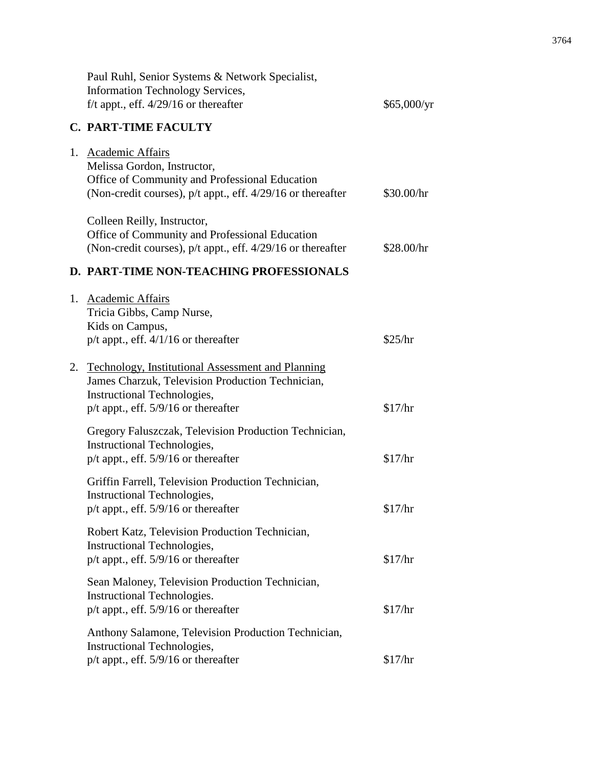|    | Paul Ruhl, Senior Systems & Network Specialist,<br>Information Technology Services,<br>f/t appt., eff. $4/29/16$ or thereafter                                                        | \$65,000/yr |
|----|---------------------------------------------------------------------------------------------------------------------------------------------------------------------------------------|-------------|
|    | <b>C. PART-TIME FACULTY</b>                                                                                                                                                           |             |
|    | 1. Academic Affairs<br>Melissa Gordon, Instructor,<br>Office of Community and Professional Education<br>(Non-credit courses), $p/t$ appt., eff. $4/29/16$ or thereafter               | \$30.00/hr  |
|    | Colleen Reilly, Instructor,<br>Office of Community and Professional Education<br>(Non-credit courses), $p/t$ appt., eff. $4/29/16$ or thereafter                                      | \$28.00/hr  |
|    | D. PART-TIME NON-TEACHING PROFESSIONALS                                                                                                                                               |             |
|    | 1. Academic Affairs<br>Tricia Gibbs, Camp Nurse,<br>Kids on Campus,<br>$p/t$ appt., eff. $4/1/16$ or thereafter                                                                       | \$25/hr     |
| 2. | <b>Technology, Institutional Assessment and Planning</b><br>James Charzuk, Television Production Technician,<br>Instructional Technologies,<br>$p/t$ appt., eff. 5/9/16 or thereafter | \$17/hr     |
|    | Gregory Faluszczak, Television Production Technician,<br>Instructional Technologies,<br>$p/t$ appt., eff. 5/9/16 or thereafter                                                        | \$17/hr     |
|    | Griffin Farrell, Television Production Technician,<br><b>Instructional Technologies,</b><br>$p/t$ appt., eff. 5/9/16 or thereafter                                                    | \$17/hr     |
|    | Robert Katz, Television Production Technician,<br>Instructional Technologies,<br>$p/t$ appt., eff. 5/9/16 or thereafter                                                               | \$17/hr     |
|    | Sean Maloney, Television Production Technician,<br>Instructional Technologies.<br>$p/t$ appt., eff. 5/9/16 or thereafter                                                              | \$17/hr     |
|    | Anthony Salamone, Television Production Technician,<br>Instructional Technologies,<br>$p/t$ appt., eff. 5/9/16 or thereafter                                                          | \$17/hr     |